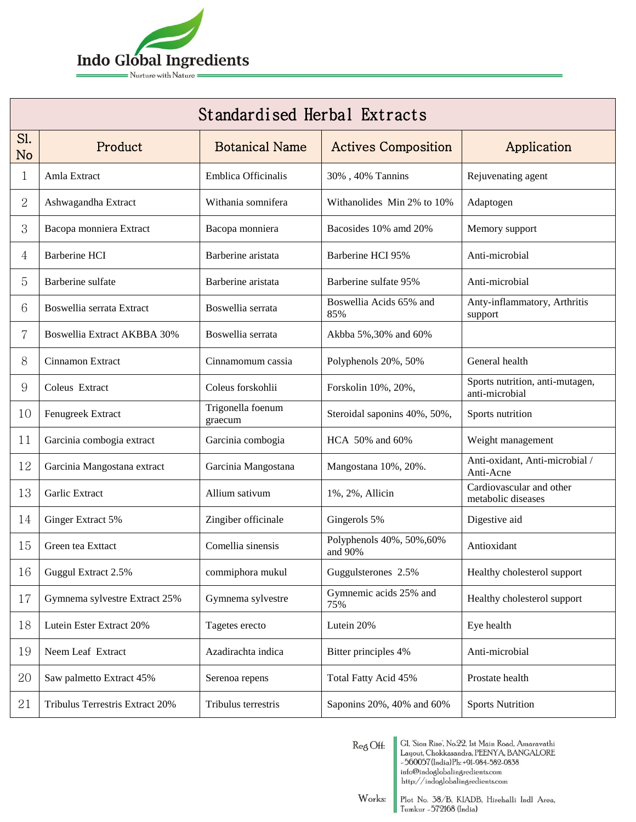

| Standardised Herbal Extracts |                                    |                              |                                      |                                                   |  |  |
|------------------------------|------------------------------------|------------------------------|--------------------------------------|---------------------------------------------------|--|--|
| Sl.<br><b>No</b>             | Product                            | <b>Botanical Name</b>        | <b>Actives Composition</b>           | Application                                       |  |  |
| 1                            | Amla Extract                       | Emblica Officinalis          | 30%, 40% Tannins                     | Rejuvenating agent                                |  |  |
| 2                            | Ashwagandha Extract                | Withania somnifera           | Withanolides Min 2% to 10%           | Adaptogen                                         |  |  |
| 3                            | Bacopa monniera Extract            | Bacopa monniera              | Bacosides 10% amd 20%                | Memory support                                    |  |  |
| 4                            | Barberine HCI                      | Barberine aristata           | Barberine HCI 95%                    | Anti-microbial                                    |  |  |
| 5                            | Barberine sulfate                  | Barberine aristata           | Barberine sulfate 95%                | Anti-microbial                                    |  |  |
| 6                            | Boswellia serrata Extract          | Boswellia serrata            | Boswellia Acids 65% and<br>85%       | Anty-inflammatory, Arthritis<br>support           |  |  |
| 7                            | <b>Boswellia Extract AKBBA 30%</b> | Boswellia serrata            | Akbba 5%, 30% and 60%                |                                                   |  |  |
| 8                            | Cinnamon Extract                   | Cinnamomum cassia            | Polyphenols 20%, 50%                 | General health                                    |  |  |
| 9                            | Coleus Extract                     | Coleus forskohlii            | Forskolin 10%, 20%,                  | Sports nutrition, anti-mutagen,<br>anti-microbial |  |  |
| 10                           | Fenugreek Extract                  | Trigonella foenum<br>graecum | Steroidal saponins 40%, 50%,         | Sports nutrition                                  |  |  |
| 11                           | Garcinia combogia extract          | Garcinia combogia            | HCA 50% and 60%                      | Weight management                                 |  |  |
| 12                           | Garcinia Mangostana extract        | Garcinia Mangostana          | Mangostana 10%, 20%.                 | Anti-oxidant, Anti-microbial /<br>Anti-Acne       |  |  |
| 13                           | Garlic Extract                     | Allium sativum               | 1%, 2%, Allicin                      | Cardiovascular and other<br>metabolic diseases    |  |  |
| 14                           | Ginger Extract 5%                  | Zingiber officinale          | Gingerols 5%                         | Digestive aid                                     |  |  |
| 15                           | Green tea Exttact                  | Comellia sinensis            | Polyphenols 40%, 50%, 60%<br>and 90% | Antioxidant                                       |  |  |
| 16                           | Guggul Extract 2.5%                | commiphora mukul             | Guggulsterones 2.5%                  | Healthy cholesterol support                       |  |  |
| 17                           | Gymnema sylvestre Extract 25%      | Gymnema sylvestre            | Gymnemic acids 25% and<br>75%        | Healthy cholesterol support                       |  |  |
| 18                           | Lutein Ester Extract 20%           | Tagetes erecto               | Lutein 20%                           | Eye health                                        |  |  |
| 19                           | Neem Leaf Extract                  | Azadirachta indica           | Bitter principles 4%                 | Anti-microbial                                    |  |  |
| 20                           | Saw palmetto Extract 45%           | Serenoa repens               | Total Fatty Acid 45%                 | Prostate health                                   |  |  |
| 21                           | Tribulus Terrestris Extract 20%    | Tribulus terrestris          | Saponins 20%, 40% and 60%            | <b>Sports Nutrition</b>                           |  |  |

 $\mathop{\mathrm{Re}}\nolimits\mathop{\mathrm{g}}\nolimits\mathop{\mathrm{Off}}\nolimits$ 

GI, 'Sion Rise', No.22, 1st Main Road, Amaravathi<br>Layout, Chokkasandra, PEENYA, BANGALORE<br>~560057(India)Ph:+91-984-582-0838<br>info@indoglobalingredients.com<br>http://indoglobalingredients.com

 $\begin{tabular}{|l|l|} \hline Plot No. 58/B, KIADB, Hirohalli Indl Area, \hline Tumkur -572168 (India) \hline \end{tabular}$